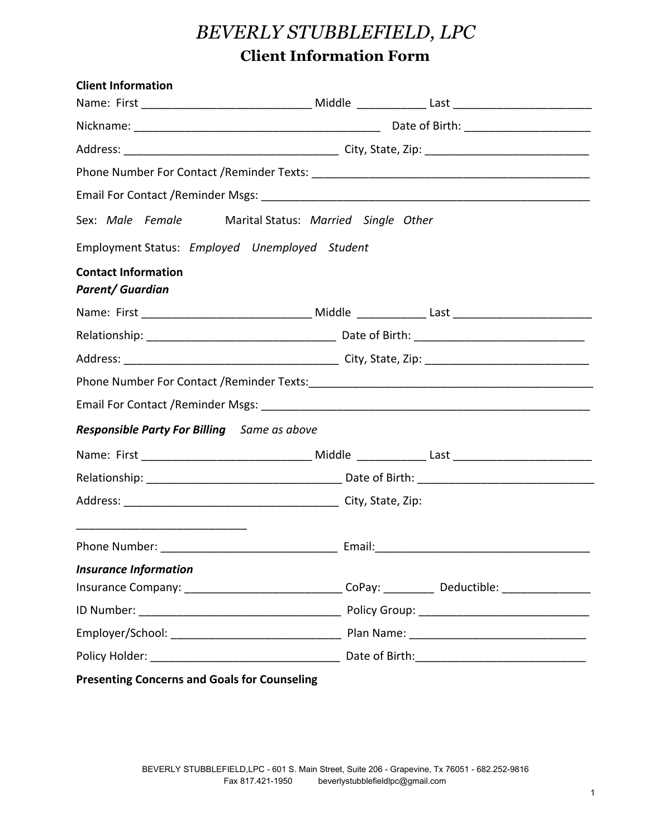## *BEVERLY STUBBLEFIELD, LPC* **Client Information Form**

| <b>Client Information</b>                                                                            |  |  |  |
|------------------------------------------------------------------------------------------------------|--|--|--|
|                                                                                                      |  |  |  |
|                                                                                                      |  |  |  |
|                                                                                                      |  |  |  |
|                                                                                                      |  |  |  |
|                                                                                                      |  |  |  |
| Sex: Male Female Marital Status: Married Single Other                                                |  |  |  |
| Employment Status: Employed Unemployed Student                                                       |  |  |  |
| <b>Contact Information</b><br><b>Parent/ Guardian</b>                                                |  |  |  |
|                                                                                                      |  |  |  |
|                                                                                                      |  |  |  |
|                                                                                                      |  |  |  |
|                                                                                                      |  |  |  |
|                                                                                                      |  |  |  |
| <b>Responsible Party For Billing</b> Same as above                                                   |  |  |  |
|                                                                                                      |  |  |  |
|                                                                                                      |  |  |  |
|                                                                                                      |  |  |  |
|                                                                                                      |  |  |  |
| <b>Insurance Information</b>                                                                         |  |  |  |
| Insurance Company: _________________________________CoPay: ______________Deductible: _______________ |  |  |  |
|                                                                                                      |  |  |  |
|                                                                                                      |  |  |  |
|                                                                                                      |  |  |  |
| <b>Presenting Concerns and Goals for Counseling</b>                                                  |  |  |  |